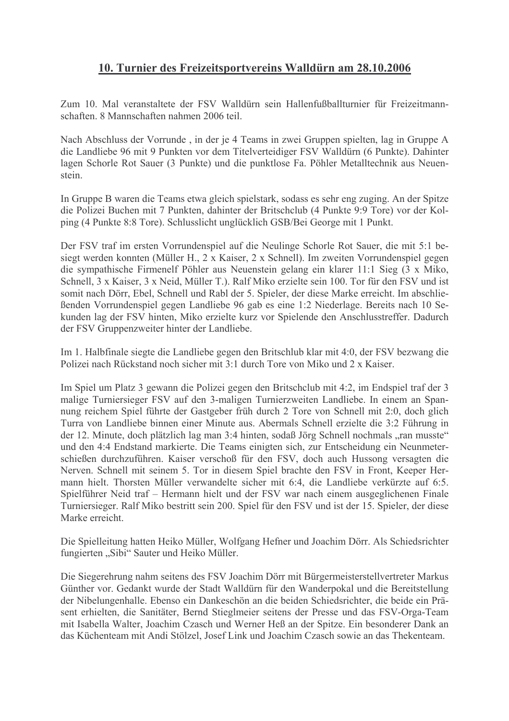## 10. Turnier des Freizeitsportvereins Walldürn am 28.10.2006

Zum 10. Mal veranstaltete der FSV Walldürn sein Hallenfußballturnier für Freizeitmannschaften 8 Mannschaften nahmen 2006 teil

Nach Abschluss der Vorrunde, in der je 4 Teams in zwei Gruppen spielten, lag in Gruppe A die Landliebe 96 mit 9 Punkten vor dem Titelverteidiger FSV Walldürn (6 Punkte). Dahinter lagen Schorle Rot Sauer (3 Punkte) und die punktlose Fa. Pöhler Metalltechnik aus Neuenstein

In Gruppe B waren die Teams etwa gleich spielstark, sodass es sehr eng zuging. An der Spitze die Polizei Buchen mit 7 Punkten, dahinter der Britschclub (4 Punkte 9:9 Tore) vor der Kolping (4 Punkte 8:8 Tore). Schlusslicht unglücklich GSB/Bei George mit 1 Punkt.

Der FSV traf im ersten Vorrundenspiel auf die Neulinge Schorle Rot Sauer, die mit 5:1 besiegt werden konnten (Müller H., 2 x Kaiser, 2 x Schnell). Im zweiten Vorrundenspiel gegen die sympathische Firmenelf Pöhler aus Neuenstein gelang ein klarer 11:1 Sieg (3 x Miko, Schnell, 3 x Kaiser, 3 x Neid, Müller T.). Ralf Miko erzielte sein 100. Tor für den FSV und ist somit nach Dörr, Ebel, Schnell und Rabl der 5. Spieler, der diese Marke erreicht. Im abschlie-Benden Vorrundenspiel gegen Landliebe 96 gab es eine 1:2 Niederlage. Bereits nach 10 Sekunden lag der FSV hinten, Miko erzielte kurz vor Spielende den Anschlusstreffer. Dadurch der FSV Gruppenzweiter hinter der Landliebe.

Im 1. Halbfinale siegte die Landliebe gegen den Britschlub klar mit 4:0, der FSV bezwang die Polizei nach Rückstand noch sicher mit 3:1 durch Tore von Miko und 2 x Kaiser.

Im Spiel um Platz 3 gewann die Polizei gegen den Britschclub mit 4:2, im Endspiel traf der 3 malige Turniersieger FSV auf den 3-maligen Turnierzweiten Landliebe. In einem an Spannung reichem Spiel führte der Gastgeber früh durch 2 Tore von Schnell mit 2:0, doch glich Turra von Landliebe binnen einer Minute aus. Abermals Schnell erzielte die 3:2 Führung in der 12. Minute, doch plätzlich lag man 3:4 hinten, sodaß Jörg Schnell nochmals "ran musste" und den 4:4 Endstand markierte. Die Teams einigten sich, zur Entscheidung ein Neunmeterschießen durchzuführen. Kaiser verschoß für den FSV, doch auch Hussong versagten die Nerven. Schnell mit seinem 5. Tor in diesem Spiel brachte den FSV in Front, Keeper Hermann hielt. Thorsten Müller verwandelte sicher mit 6:4, die Landliebe verkürzte auf 6:5. Spielführer Neid traf – Hermann hielt und der FSV war nach einem ausgeglichenen Finale Turniersieger. Ralf Miko bestritt sein 200. Spiel für den FSV und ist der 15. Spieler, der diese Marke erreicht.

Die Spielleitung hatten Heiko Müller, Wolfgang Hefner und Joachim Dörr. Als Schiedsrichter fungierten "Sibi" Sauter und Heiko Müller.

Die Siegerehrung nahm seitens des FSV Joachim Dörr mit Bürgermeisterstellvertreter Markus Günther vor. Gedankt wurde der Stadt Walldürn für den Wanderpokal und die Bereitstellung der Nibelungenhalle. Ebenso ein Dankeschön an die beiden Schiedsrichter, die beide ein Präsent erhielten, die Sanitäter, Bernd Stieglmeier seitens der Presse und das FSV-Orga-Team mit Isabella Walter, Joachim Czasch und Werner Heß an der Spitze. Ein besonderer Dank an das Küchenteam mit Andi Stölzel. Josef Link und Joachim Czasch sowie an das Thekenteam.